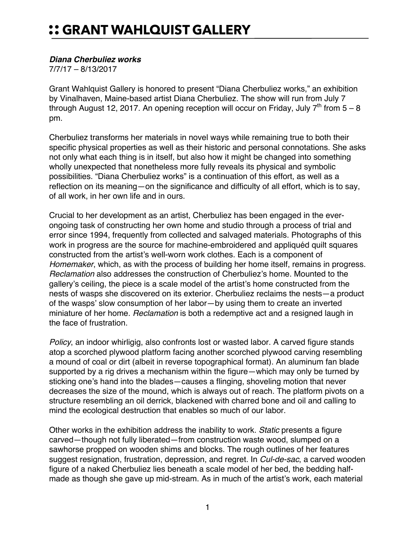## *Diana Cherbuliez works*

7/7/17 – 8/13/2017

Grant Wahlquist Gallery is honored to present "Diana Cherbuliez works," an exhibition by Vinalhaven, Maine-based artist Diana Cherbuliez. The show will run from July 7 through August 12, 2017. An opening reception will occur on Friday, July  $7^{th}$  from  $5 - 8$ pm.

Cherbuliez transforms her materials in novel ways while remaining true to both their specific physical properties as well as their historic and personal connotations. She asks not only what each thing is in itself, but also how it might be changed into something wholly unexpected that nonetheless more fully reveals its physical and symbolic possibilities. "Diana Cherbuliez works" is a continuation of this effort, as well as a reflection on its meaning—on the significance and difficulty of all effort, which is to say, of all work, in her own life and in ours.

Crucial to her development as an artist, Cherbuliez has been engaged in the everongoing task of constructing her own home and studio through a process of trial and error since 1994, frequently from collected and salvaged materials. Photographs of this work in progress are the source for machine-embroidered and appliquéd quilt squares constructed from the artist's well-worn work clothes. Each is a component of *Homemaker*, which, as with the process of building her home itself, remains in progress. *Reclamation* also addresses the construction of Cherbuliez's home. Mounted to the gallery's ceiling, the piece is a scale model of the artist's home constructed from the nests of wasps she discovered on its exterior. Cherbuliez reclaims the nests—a product of the wasps' slow consumption of her labor—by using them to create an inverted miniature of her home. *Reclamation* is both a redemptive act and a resigned laugh in the face of frustration.

*Policy*, an indoor whirligig, also confronts lost or wasted labor. A carved figure stands atop a scorched plywood platform facing another scorched plywood carving resembling a mound of coal or dirt (albeit in reverse topographical format). An aluminum fan blade supported by a rig drives a mechanism within the figure—which may only be turned by sticking one's hand into the blades—causes a flinging, shoveling motion that never decreases the size of the mound, which is always out of reach. The platform pivots on a structure resembling an oil derrick, blackened with charred bone and oil and calling to mind the ecological destruction that enables so much of our labor.

Other works in the exhibition address the inability to work. *Static* presents a figure carved—though not fully liberated—from construction waste wood, slumped on a sawhorse propped on wooden shims and blocks. The rough outlines of her features suggest resignation, frustration, depression, and regret. In *Cul-de-sac*, a carved wooden figure of a naked Cherbuliez lies beneath a scale model of her bed, the bedding halfmade as though she gave up mid-stream. As in much of the artist's work, each material